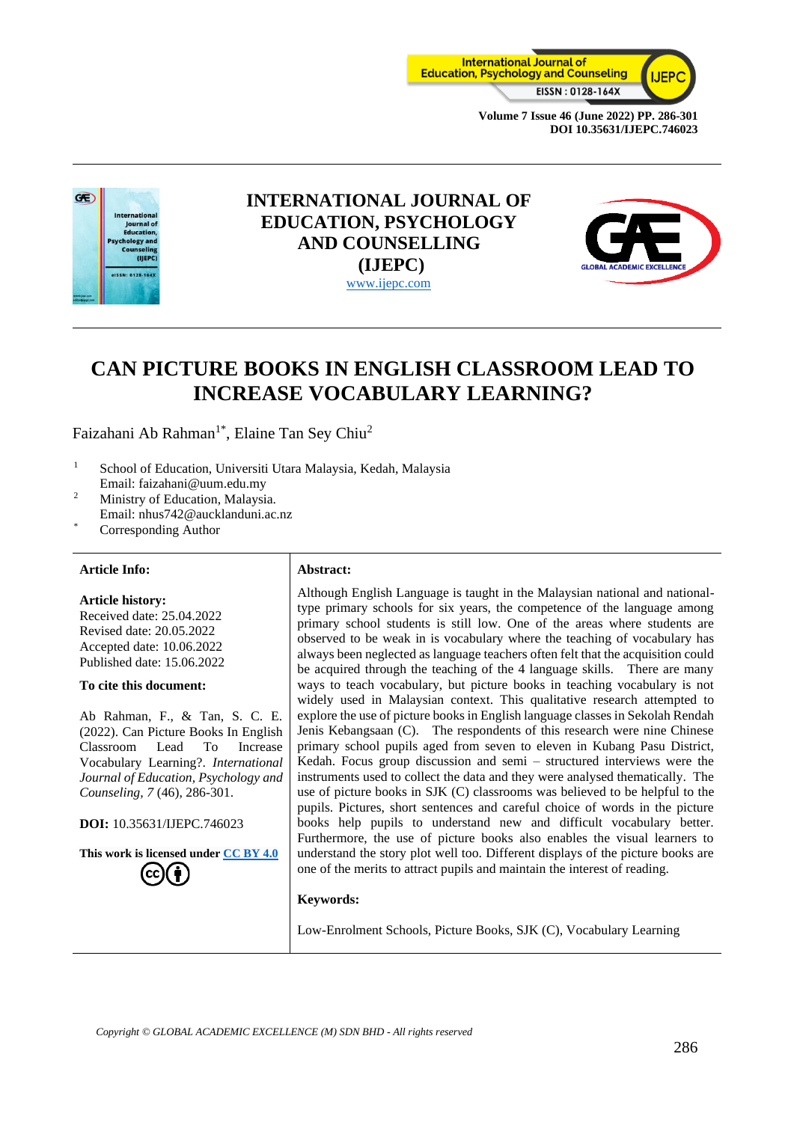



## **INTERNATIONAL JOURNAL OF EDUCATION, PSYCHOLOGY AND COUNSELLING (IJEPC)** [www.ijepc.com](http://www.ijepc.com/)



# **CAN PICTURE BOOKS IN ENGLISH CLASSROOM LEAD TO INCREASE VOCABULARY LEARNING?**

Faizahani Ab Rahman<sup>1\*</sup>, Elaine Tan Sey Chiu<sup>2</sup>

- <sup>1</sup> School of Education, Universiti Utara Malaysia, Kedah, Malaysia Email: faizahani@uum.edu.my
- <sup>2</sup> Ministry of Education, Malaysia.
- Email: nhus742@aucklanduni.ac.nz
- Corresponding Author

#### **Article Info: Abstract:**

**Article history:** Received date: 25.04.2022 Revised date: 20.05.2022

Accepted date: 10.06.2022 Published date: 15.06.2022

#### **To cite this document:**

Ab Rahman, F., & Tan, S. C. E. (2022). Can Picture Books In English Classroom Lead To Increase Vocabulary Learning?. *International Journal of Education, Psychology and Counseling, 7* (46), 286-301.

**DOI:** 10.35631/IJEPC.746023

**This work is licensed under [CC BY 4.0](https://creativecommons.org/licenses/by/4.0/?ref=chooser-v1)**

Although English Language is taught in the Malaysian national and nationaltype primary schools for six years, the competence of the language among primary school students is still low. One of the areas where students are observed to be weak in is vocabulary where the teaching of vocabulary has always been neglected as language teachers often felt that the acquisition could be acquired through the teaching of the 4 language skills. There are many ways to teach vocabulary, but picture books in teaching vocabulary is not widely used in Malaysian context. This qualitative research attempted to explore the use of picture books in English language classes in Sekolah Rendah Jenis Kebangsaan (C). The respondents of this research were nine Chinese primary school pupils aged from seven to eleven in Kubang Pasu District, Kedah. Focus group discussion and semi – structured interviews were the instruments used to collect the data and they were analysed thematically. The use of picture books in SJK (C) classrooms was believed to be helpful to the pupils. Pictures, short sentences and careful choice of words in the picture books help pupils to understand new and difficult vocabulary better. Furthermore, the use of picture books also enables the visual learners to understand the story plot well too. Different displays of the picture books are one of the merits to attract pupils and maintain the interest of reading.

#### **Keywords:**

Low-Enrolment Schools, Picture Books, SJK (C), Vocabulary Learning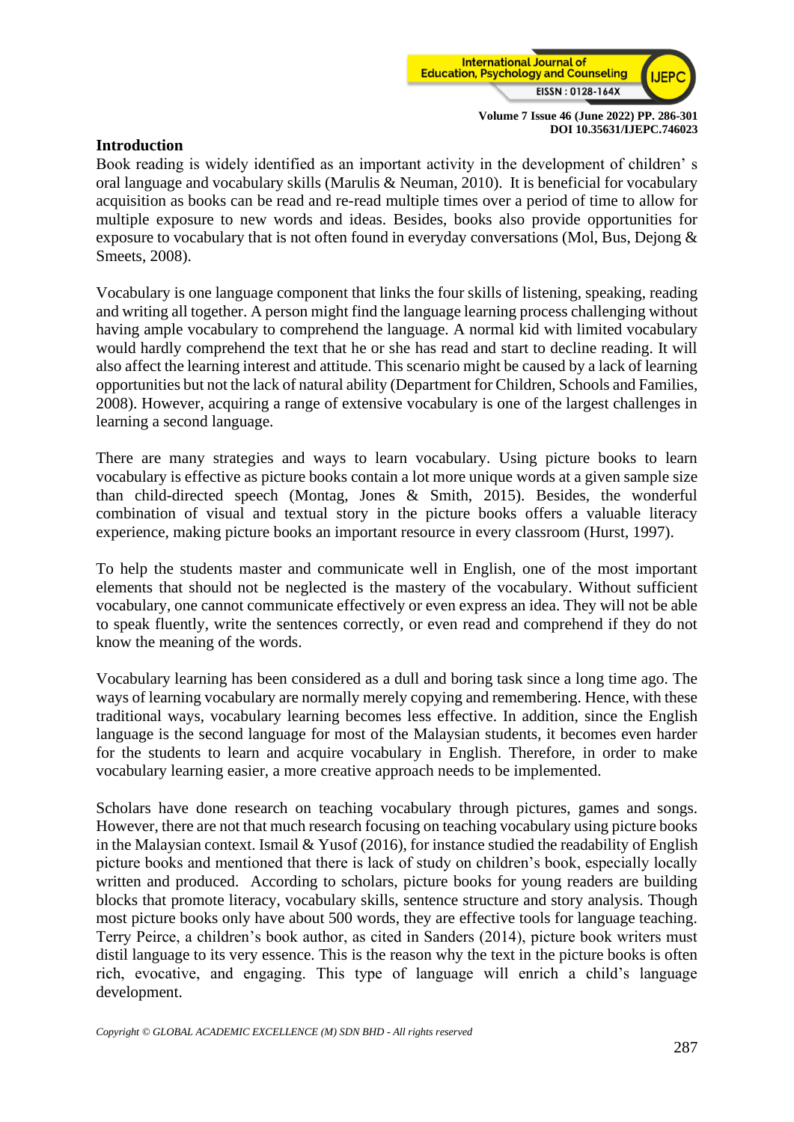

## **Introduction**

Book reading is widely identified as an important activity in the development of children' s oral language and vocabulary skills (Marulis & Neuman, 2010). It is beneficial for vocabulary acquisition as books can be read and re-read multiple times over a period of time to allow for multiple exposure to new words and ideas. Besides, books also provide opportunities for exposure to vocabulary that is not often found in everyday conversations (Mol, Bus, Dejong & Smeets, 2008).

Vocabulary is one language component that links the four skills of listening, speaking, reading and writing all together. A person might find the language learning process challenging without having ample vocabulary to comprehend the language. A normal kid with limited vocabulary would hardly comprehend the text that he or she has read and start to decline reading. It will also affect the learning interest and attitude. This scenario might be caused by a lack of learning opportunities but not the lack of natural ability (Department for Children, Schools and Families, 2008). However, acquiring a range of extensive vocabulary is one of the largest challenges in learning a second language.

There are many strategies and ways to learn vocabulary. Using picture books to learn vocabulary is effective as picture books contain a lot more unique words at a given sample size than child-directed speech (Montag, Jones & Smith, 2015). Besides, the wonderful combination of visual and textual story in the picture books offers a valuable literacy experience, making picture books an important resource in every classroom (Hurst, 1997).

To help the students master and communicate well in English, one of the most important elements that should not be neglected is the mastery of the vocabulary. Without sufficient vocabulary, one cannot communicate effectively or even express an idea. They will not be able to speak fluently, write the sentences correctly, or even read and comprehend if they do not know the meaning of the words.

Vocabulary learning has been considered as a dull and boring task since a long time ago. The ways of learning vocabulary are normally merely copying and remembering. Hence, with these traditional ways, vocabulary learning becomes less effective. In addition, since the English language is the second language for most of the Malaysian students, it becomes even harder for the students to learn and acquire vocabulary in English. Therefore, in order to make vocabulary learning easier, a more creative approach needs to be implemented.

Scholars have done research on teaching vocabulary through pictures, games and songs. However, there are not that much research focusing on teaching vocabulary using picture books in the Malaysian context. Ismail & Yusof (2016), for instance studied the readability of English picture books and mentioned that there is lack of study on children's book, especially locally written and produced. According to scholars, picture books for young readers are building blocks that promote literacy, vocabulary skills, sentence structure and story analysis. Though most picture books only have about 500 words, they are effective tools for language teaching. Terry Peirce, a children's book author, as cited in Sanders (2014), picture book writers must distil language to its very essence. This is the reason why the text in the picture books is often rich, evocative, and engaging. This type of language will enrich a child's language development.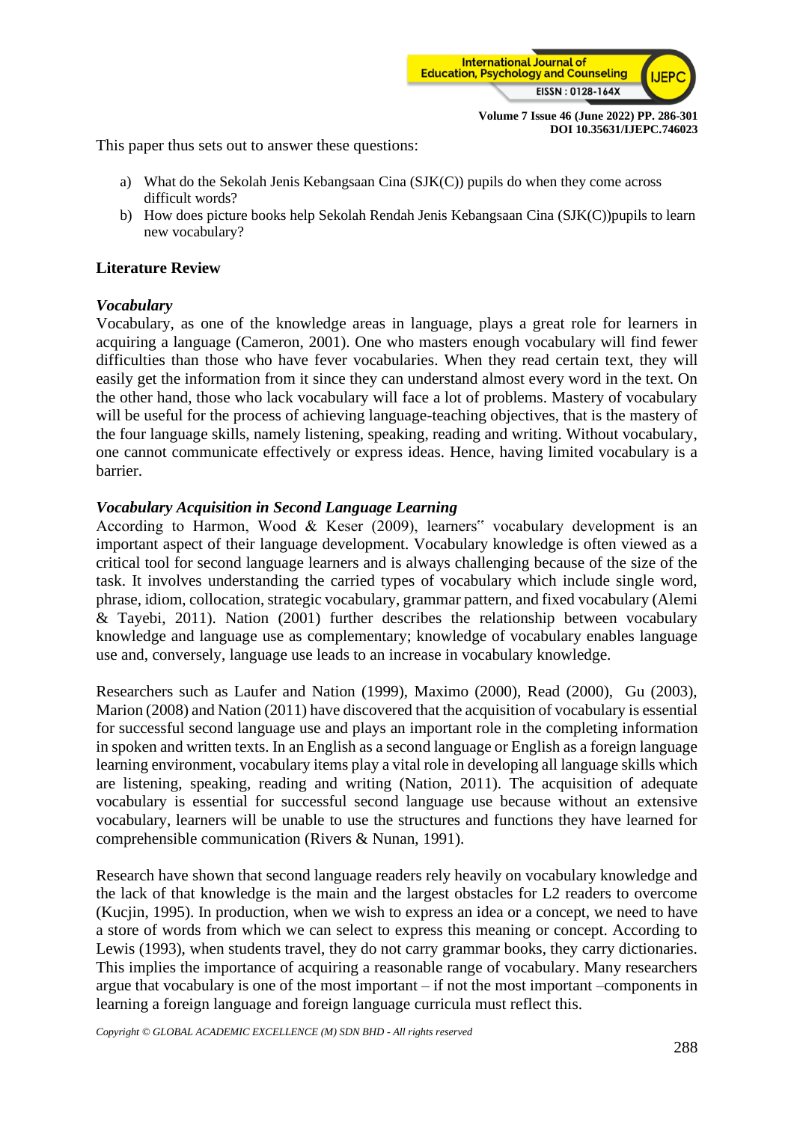

This paper thus sets out to answer these questions:

- a) What do the Sekolah Jenis Kebangsaan Cina (SJK(C)) pupils do when they come across difficult words?
- b) How does picture books help Sekolah Rendah Jenis Kebangsaan Cina (SJK(C))pupils to learn new vocabulary?

## **Literature Review**

## *Vocabulary*

Vocabulary, as one of the knowledge areas in language, plays a great role for learners in acquiring a language (Cameron, 2001). One who masters enough vocabulary will find fewer difficulties than those who have fever vocabularies. When they read certain text, they will easily get the information from it since they can understand almost every word in the text. On the other hand, those who lack vocabulary will face a lot of problems. Mastery of vocabulary will be useful for the process of achieving language-teaching objectives, that is the mastery of the four language skills, namely listening, speaking, reading and writing. Without vocabulary, one cannot communicate effectively or express ideas. Hence, having limited vocabulary is a barrier.

### *Vocabulary Acquisition in Second Language Learning*

According to Harmon, Wood & Keser (2009), learners" vocabulary development is an important aspect of their language development. Vocabulary knowledge is often viewed as a critical tool for second language learners and is always challenging because of the size of the task. It involves understanding the carried types of vocabulary which include single word, phrase, idiom, collocation, strategic vocabulary, grammar pattern, and fixed vocabulary (Alemi & Tayebi, 2011). Nation (2001) further describes the relationship between vocabulary knowledge and language use as complementary; knowledge of vocabulary enables language use and, conversely, language use leads to an increase in vocabulary knowledge.

Researchers such as Laufer and Nation (1999), Maximo (2000), Read (2000), Gu (2003), Marion (2008) and Nation (2011) have discovered that the acquisition of vocabulary is essential for successful second language use and plays an important role in the completing information in spoken and written texts. In an English as a second language or English as a foreign language learning environment, vocabulary items play a vital role in developing all language skills which are listening, speaking, reading and writing (Nation, 2011). The acquisition of adequate vocabulary is essential for successful second language use because without an extensive vocabulary, learners will be unable to use the structures and functions they have learned for comprehensible communication (Rivers & Nunan, 1991).

Research have shown that second language readers rely heavily on vocabulary knowledge and the lack of that knowledge is the main and the largest obstacles for L2 readers to overcome (Kucjin, 1995). In production, when we wish to express an idea or a concept, we need to have a store of words from which we can select to express this meaning or concept. According to Lewis (1993), when students travel, they do not carry grammar books, they carry dictionaries. This implies the importance of acquiring a reasonable range of vocabulary. Many researchers argue that vocabulary is one of the most important – if not the most important –components in learning a foreign language and foreign language curricula must reflect this.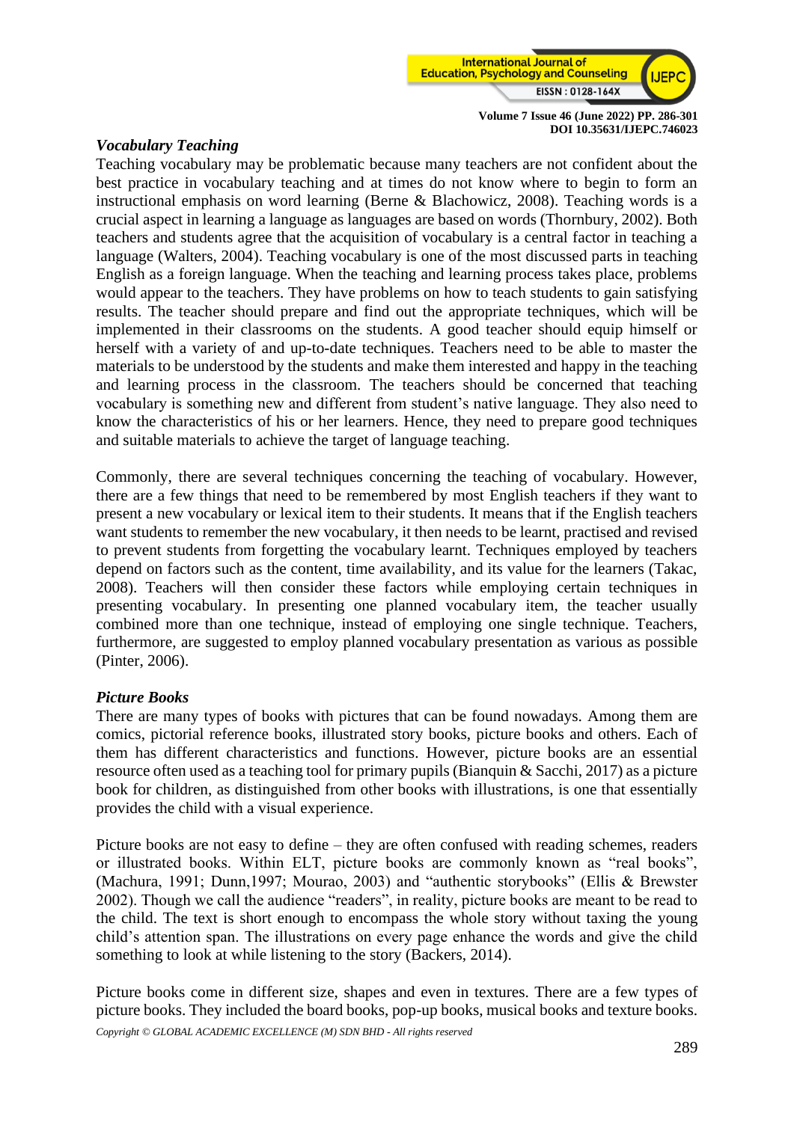

## *Vocabulary Teaching*

Teaching vocabulary may be problematic because many teachers are not confident about the best practice in vocabulary teaching and at times do not know where to begin to form an instructional emphasis on word learning (Berne & Blachowicz, 2008). Teaching words is a crucial aspect in learning a language as languages are based on words (Thornbury, 2002). Both teachers and students agree that the acquisition of vocabulary is a central factor in teaching a language (Walters, 2004). Teaching vocabulary is one of the most discussed parts in teaching English as a foreign language. When the teaching and learning process takes place, problems would appear to the teachers. They have problems on how to teach students to gain satisfying results. The teacher should prepare and find out the appropriate techniques, which will be implemented in their classrooms on the students. A good teacher should equip himself or herself with a variety of and up-to-date techniques. Teachers need to be able to master the materials to be understood by the students and make them interested and happy in the teaching and learning process in the classroom. The teachers should be concerned that teaching vocabulary is something new and different from student's native language. They also need to know the characteristics of his or her learners. Hence, they need to prepare good techniques and suitable materials to achieve the target of language teaching.

Commonly, there are several techniques concerning the teaching of vocabulary. However, there are a few things that need to be remembered by most English teachers if they want to present a new vocabulary or lexical item to their students. It means that if the English teachers want students to remember the new vocabulary, it then needs to be learnt, practised and revised to prevent students from forgetting the vocabulary learnt. Techniques employed by teachers depend on factors such as the content, time availability, and its value for the learners (Takac, 2008). Teachers will then consider these factors while employing certain techniques in presenting vocabulary. In presenting one planned vocabulary item, the teacher usually combined more than one technique, instead of employing one single technique. Teachers, furthermore, are suggested to employ planned vocabulary presentation as various as possible (Pinter, 2006).

## *Picture Books*

There are many types of books with pictures that can be found nowadays. Among them are comics, pictorial reference books, illustrated story books, picture books and others. Each of them has different characteristics and functions. However, picture books are an essential resource often used as a teaching tool for primary pupils (Bianquin & Sacchi, 2017) as a picture book for children, as distinguished from other books with illustrations, is one that essentially provides the child with a visual experience.

Picture books are not easy to define – they are often confused with reading schemes, readers or illustrated books. Within ELT, picture books are commonly known as "real books", (Machura, 1991; Dunn,1997; Mourao, 2003) and "authentic storybooks" (Ellis & Brewster 2002). Though we call the audience "readers", in reality, picture books are meant to be read to the child. The text is short enough to encompass the whole story without taxing the young child's attention span. The illustrations on every page enhance the words and give the child something to look at while listening to the story (Backers, 2014).

Picture books come in different size, shapes and even in textures. There are a few types of picture books. They included the board books, pop-up books, musical books and texture books.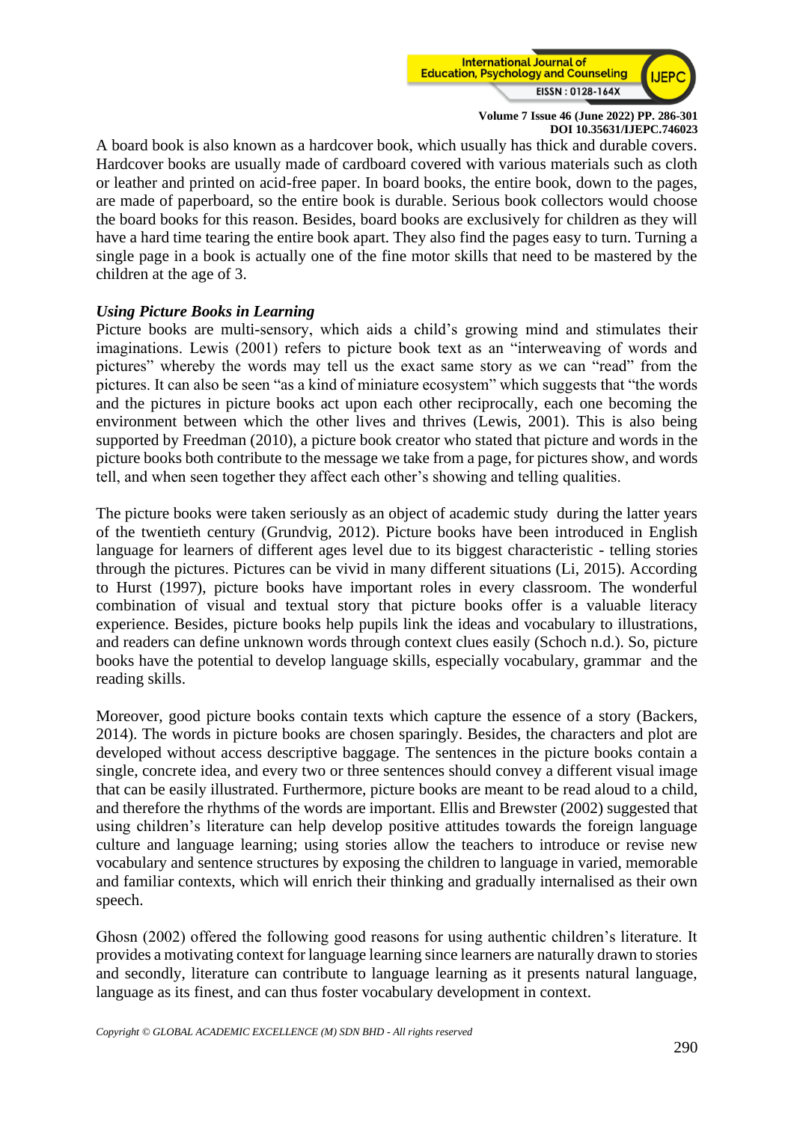

A board book is also known as a hardcover book, which usually has thick and durable covers. Hardcover books are usually made of cardboard covered with various materials such as cloth or leather and printed on acid-free paper. In board books, the entire book, down to the pages, are made of paperboard, so the entire book is durable. Serious book collectors would choose the board books for this reason. Besides, board books are exclusively for children as they will have a hard time tearing the entire book apart. They also find the pages easy to turn. Turning a single page in a book is actually one of the fine motor skills that need to be mastered by the children at the age of 3.

## *Using Picture Books in Learning*

Picture books are multi-sensory, which aids a child's growing mind and stimulates their imaginations. Lewis (2001) refers to picture book text as an "interweaving of words and pictures" whereby the words may tell us the exact same story as we can "read" from the pictures. It can also be seen "as a kind of miniature ecosystem" which suggests that "the words and the pictures in picture books act upon each other reciprocally, each one becoming the environment between which the other lives and thrives (Lewis, 2001). This is also being supported by Freedman (2010), a picture book creator who stated that picture and words in the picture books both contribute to the message we take from a page, for pictures show, and words tell, and when seen together they affect each other's showing and telling qualities.

The picture books were taken seriously as an object of academic study during the latter years of the twentieth century (Grundvig, 2012). Picture books have been introduced in English language for learners of different ages level due to its biggest characteristic - telling stories through the pictures. Pictures can be vivid in many different situations (Li, 2015). According to Hurst (1997), picture books have important roles in every classroom. The wonderful combination of visual and textual story that picture books offer is a valuable literacy experience. Besides, picture books help pupils link the ideas and vocabulary to illustrations, and readers can define unknown words through context clues easily (Schoch n.d.). So, picture books have the potential to develop language skills, especially vocabulary, grammar and the reading skills.

Moreover, good picture books contain texts which capture the essence of a story (Backers, 2014). The words in picture books are chosen sparingly. Besides, the characters and plot are developed without access descriptive baggage. The sentences in the picture books contain a single, concrete idea, and every two or three sentences should convey a different visual image that can be easily illustrated. Furthermore, picture books are meant to be read aloud to a child, and therefore the rhythms of the words are important. Ellis and Brewster (2002) suggested that using children's literature can help develop positive attitudes towards the foreign language culture and language learning; using stories allow the teachers to introduce or revise new vocabulary and sentence structures by exposing the children to language in varied, memorable and familiar contexts, which will enrich their thinking and gradually internalised as their own speech.

Ghosn (2002) offered the following good reasons for using authentic children's literature. It provides a motivating context for language learning since learners are naturally drawn to stories and secondly, literature can contribute to language learning as it presents natural language, language as its finest, and can thus foster vocabulary development in context.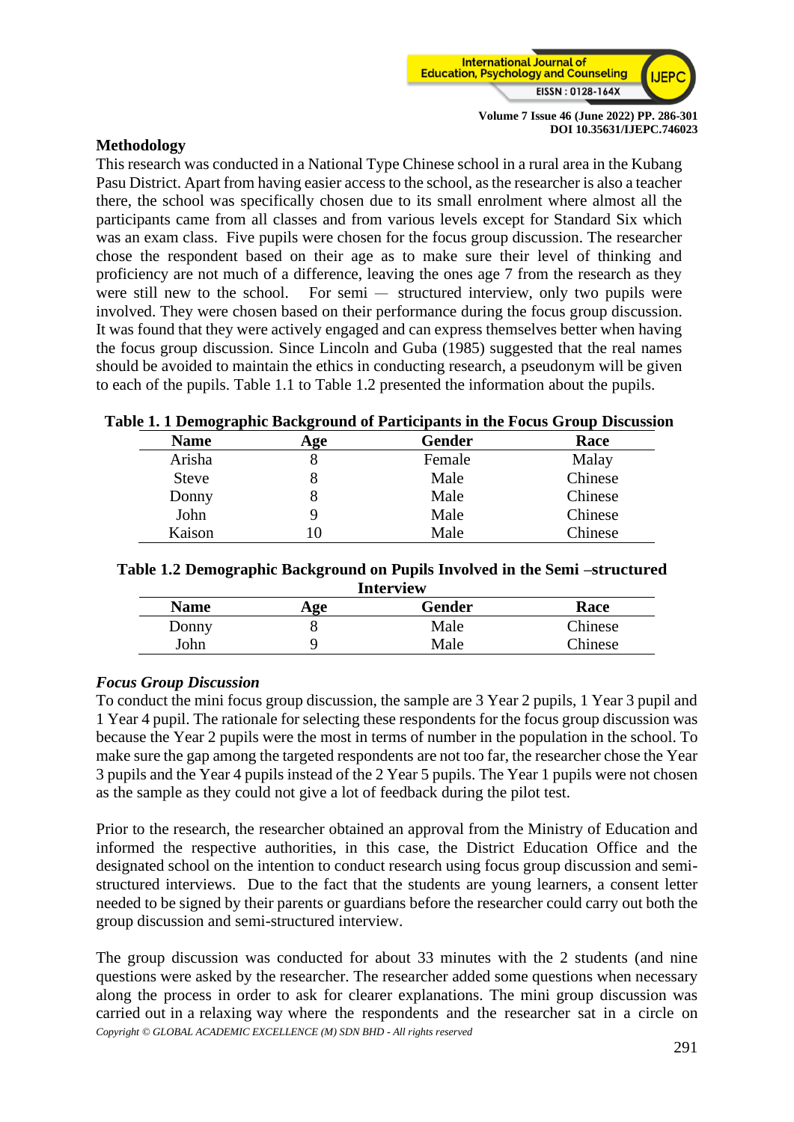

## **Methodology**

This research was conducted in a National Type Chinese school in a rural area in the Kubang Pasu District. Apart from having easier access to the school, as the researcher is also a teacher there, the school was specifically chosen due to its small enrolment where almost all the participants came from all classes and from various levels except for Standard Six which was an exam class. Five pupils were chosen for the focus group discussion. The researcher chose the respondent based on their age as to make sure their level of thinking and proficiency are not much of a difference, leaving the ones age 7 from the research as they were still new to the school. For semi — structured interview, only two pupils were involved. They were chosen based on their performance during the focus group discussion. It was found that they were actively engaged and can express themselves better when having the focus group discussion. Since Lincoln and Guba (1985) suggested that the real names should be avoided to maintain the ethics in conducting research, a pseudonym will be given to each of the pupils. Table 1.1 to Table 1.2 presented the information about the pupils.

### **Table 1. 1 Demographic Background of Participants in the Focus Group Discussion**

| <b>Name</b>  | Age | <b>Gender</b> | Race    |
|--------------|-----|---------------|---------|
| Arisha       |     | Female        | Malay   |
| <b>Steve</b> |     | Male          | Chinese |
| Donny        |     | Male          | Chinese |
| John         | ч   | Male          | Chinese |
| Kaison       | 10  | Male          | Chinese |

| Table 1.2 Demographic Background on Pupils Involved in the Semi -structured |  |  |
|-----------------------------------------------------------------------------|--|--|
|                                                                             |  |  |

| <b>Interview</b> |     |        |         |  |  |  |
|------------------|-----|--------|---------|--|--|--|
| <b>Name</b>      | Age | Gender | Race    |  |  |  |
| Donny            |     | Male   | Chinese |  |  |  |
| ∣ohn             |     | Male   | Chinese |  |  |  |

## *Focus Group Discussion*

To conduct the mini focus group discussion, the sample are 3 Year 2 pupils, 1 Year 3 pupil and 1 Year 4 pupil. The rationale for selecting these respondents for the focus group discussion was because the Year 2 pupils were the most in terms of number in the population in the school. To make sure the gap among the targeted respondents are not too far, the researcher chose the Year 3 pupils and the Year 4 pupils instead of the 2 Year 5 pupils. The Year 1 pupils were not chosen as the sample as they could not give a lot of feedback during the pilot test.

Prior to the research, the researcher obtained an approval from the Ministry of Education and informed the respective authorities, in this case, the District Education Office and the designated school on the intention to conduct research using focus group discussion and semistructured interviews. Due to the fact that the students are young learners, a consent letter needed to be signed by their parents or guardians before the researcher could carry out both the group discussion and semi-structured interview.

*Copyright © GLOBAL ACADEMIC EXCELLENCE (M) SDN BHD - All rights reserved* The group discussion was conducted for about 33 minutes with the 2 students (and nine questions were asked by the researcher. The researcher added some questions when necessary along the process in order to ask for clearer explanations. The mini group discussion was carried out in a relaxing way where the respondents and the researcher sat in a circle on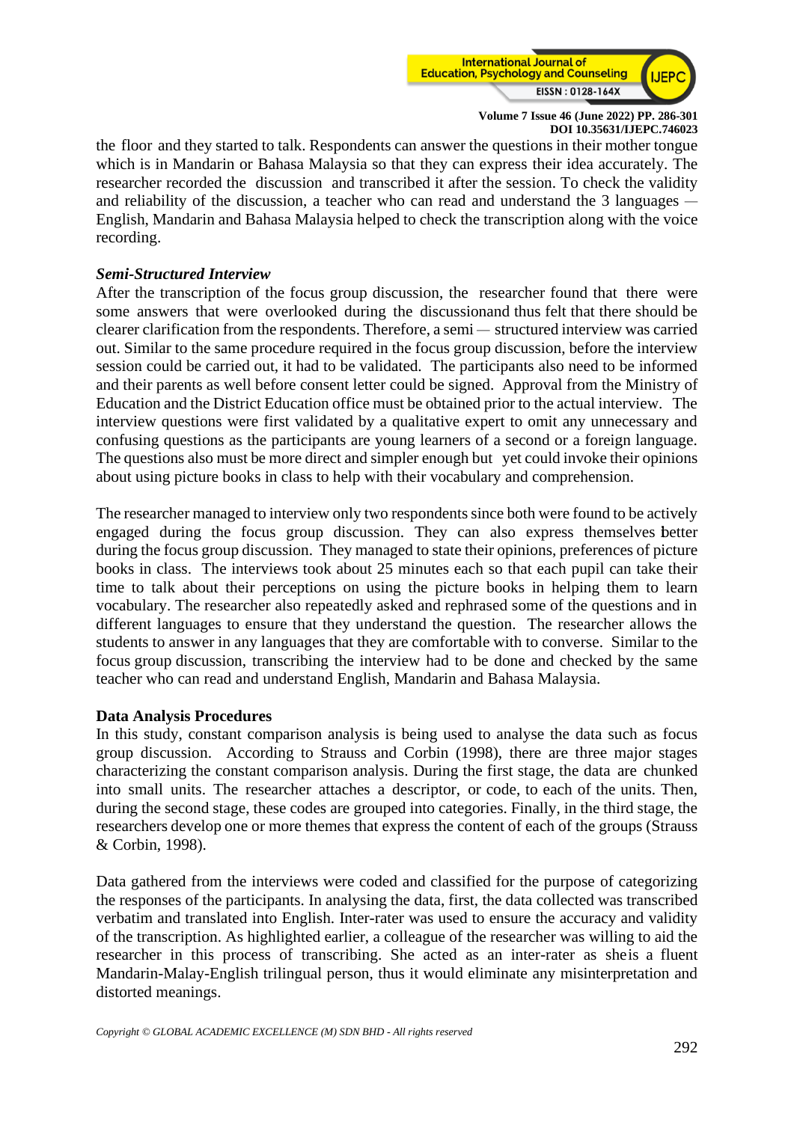

the floor and they started to talk. Respondents can answer the questions in their mother tongue which is in Mandarin or Bahasa Malaysia so that they can express their idea accurately. The researcher recorded the discussion and transcribed it after the session. To check the validity and reliability of the discussion, a teacher who can read and understand the 3 languages – English, Mandarin and Bahasa Malaysia helped to check the transcription along with the voice recording.

## *Semi-Structured Interview*

After the transcription of the focus group discussion, the researcher found that there were some answers that were overlooked during the discussionand thus felt that there should be clearer clarification from the respondents. Therefore, a semi – structured interview was carried out. Similar to the same procedure required in the focus group discussion, before the interview session could be carried out, it had to be validated. The participants also need to be informed and their parents as well before consent letter could be signed. Approval from the Ministry of Education and the District Education office must be obtained prior to the actual interview. The interview questions were first validated by a qualitative expert to omit any unnecessary and confusing questions as the participants are young learners of a second or a foreign language. The questions also must be more direct and simpler enough but yet could invoke their opinions about using picture books in class to help with their vocabulary and comprehension.

The researcher managed to interview only two respondents since both were found to be actively engaged during the focus group discussion. They can also express themselves better during the focus group discussion. They managed to state their opinions, preferences of picture books in class. The interviews took about 25 minutes each so that each pupil can take their time to talk about their perceptions on using the picture books in helping them to learn vocabulary. The researcher also repeatedly asked and rephrased some of the questions and in different languages to ensure that they understand the question. The researcher allows the students to answer in any languages that they are comfortable with to converse. Similar to the focus group discussion, transcribing the interview had to be done and checked by the same teacher who can read and understand English, Mandarin and Bahasa Malaysia.

## **Data Analysis Procedures**

In this study, constant comparison analysis is being used to analyse the data such as focus group discussion. According to Strauss and Corbin (1998), there are three major stages characterizing the constant comparison analysis. During the first stage, the data are chunked into small units. The researcher attaches a descriptor, or code, to each of the units. Then, during the second stage, these codes are grouped into categories. Finally, in the third stage, the researchers develop one or more themes that express the content of each of the groups (Strauss & Corbin, 1998).

Data gathered from the interviews were coded and classified for the purpose of categorizing the responses of the participants. In analysing the data, first, the data collected was transcribed verbatim and translated into English. Inter-rater was used to ensure the accuracy and validity of the transcription. As highlighted earlier, a colleague of the researcher was willing to aid the researcher in this process of transcribing. She acted as an inter-rater as sheis a fluent Mandarin-Malay-English trilingual person, thus it would eliminate any misinterpretation and distorted meanings.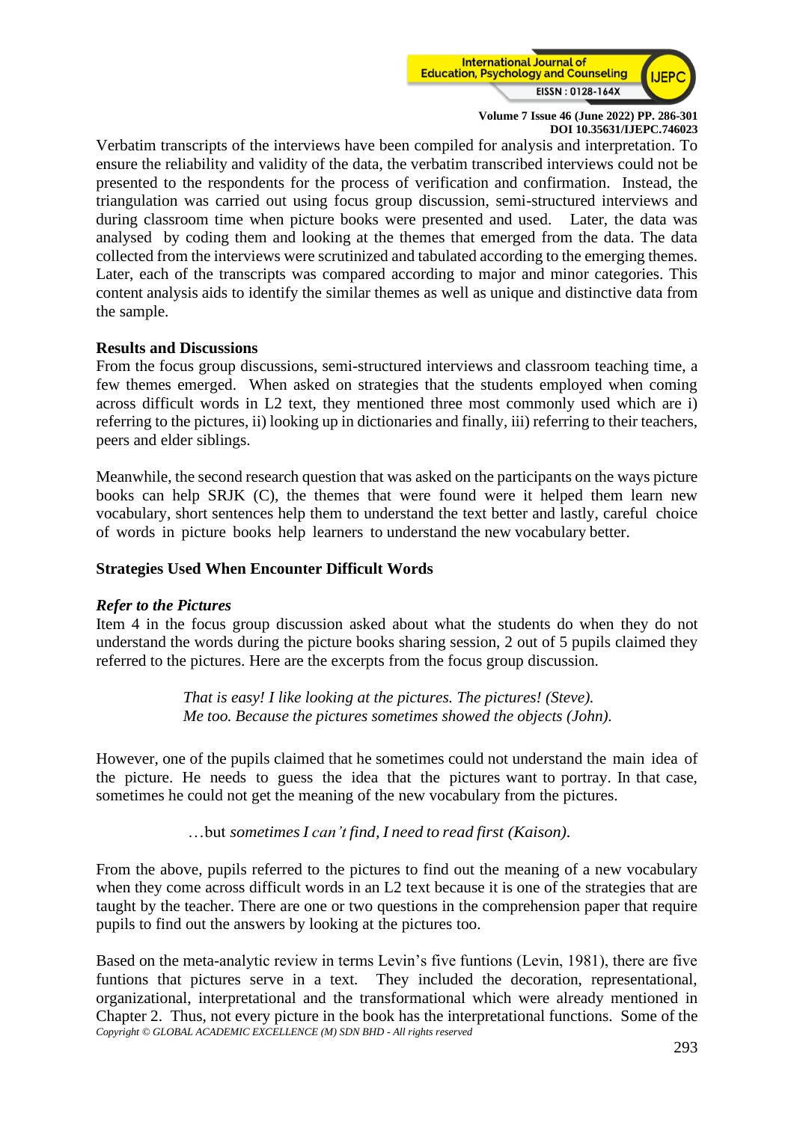

Verbatim transcripts of the interviews have been compiled for analysis and interpretation. To ensure the reliability and validity of the data, the verbatim transcribed interviews could not be presented to the respondents for the process of verification and confirmation. Instead, the triangulation was carried out using focus group discussion, semi-structured interviews and during classroom time when picture books were presented and used. Later, the data was analysed by coding them and looking at the themes that emerged from the data. The data collected from the interviews were scrutinized and tabulated according to the emerging themes. Later, each of the transcripts was compared according to major and minor categories. This content analysis aids to identify the similar themes as well as unique and distinctive data from the sample.

## **Results and Discussions**

From the focus group discussions, semi-structured interviews and classroom teaching time, a few themes emerged. When asked on strategies that the students employed when coming across difficult words in L2 text, they mentioned three most commonly used which are i) referring to the pictures, ii) looking up in dictionaries and finally, iii) referring to their teachers, peers and elder siblings.

Meanwhile, the second research question that was asked on the participants on the ways picture books can help SRJK (C), the themes that were found were it helped them learn new vocabulary, short sentences help them to understand the text better and lastly, careful choice of words in picture books help learners to understand the new vocabulary better.

## **Strategies Used When Encounter Difficult Words**

## *Refer to the Pictures*

Item 4 in the focus group discussion asked about what the students do when they do not understand the words during the picture books sharing session, 2 out of 5 pupils claimed they referred to the pictures. Here are the excerpts from the focus group discussion.

> *That is easy! I like looking at the pictures. The pictures! (Steve). Me too. Because the pictures sometimes showed the objects (John).*

However, one of the pupils claimed that he sometimes could not understand the main idea of the picture. He needs to guess the idea that the pictures want to portray. In that case, sometimes he could not get the meaning of the new vocabulary from the pictures.

…but *sometimesI can't find, I need to read first (Kaison).* 

From the above, pupils referred to the pictures to find out the meaning of a new vocabulary when they come across difficult words in an L2 text because it is one of the strategies that are taught by the teacher. There are one or two questions in the comprehension paper that require pupils to find out the answers by looking at the pictures too.

*Copyright © GLOBAL ACADEMIC EXCELLENCE (M) SDN BHD - All rights reserved* Based on the meta-analytic review in terms Levin's five funtions (Levin, 1981), there are five funtions that pictures serve in a text. They included the decoration, representational, organizational, interpretational and the transformational which were already mentioned in Chapter 2. Thus, not every picture in the book has the interpretational functions. Some of the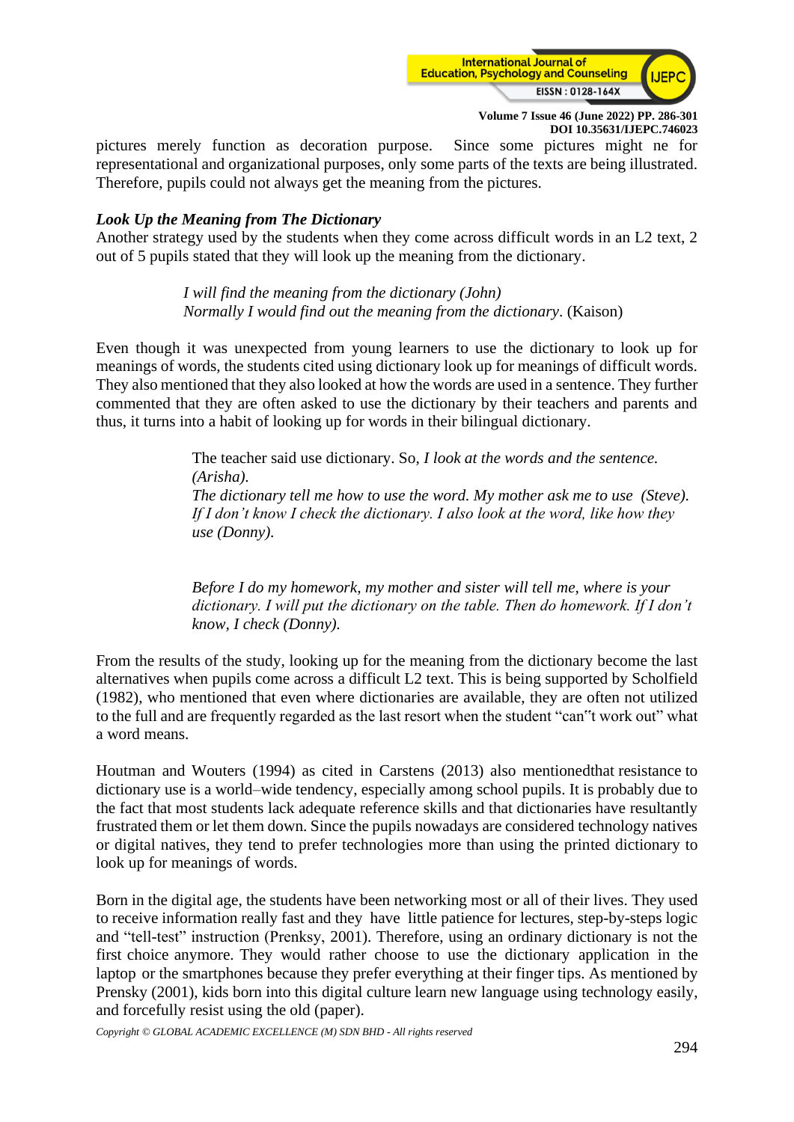

pictures merely function as decoration purpose. Since some pictures might ne for representational and organizational purposes, only some parts of the texts are being illustrated. Therefore, pupils could not always get the meaning from the pictures.

## *Look Up the Meaning from The Dictionary*

Another strategy used by the students when they come across difficult words in an L2 text, 2 out of 5 pupils stated that they will look up the meaning from the dictionary.

> *I will find the meaning from the dictionary (John) Normally I would find out the meaning from the dictionary*. (Kaison)

Even though it was unexpected from young learners to use the dictionary to look up for meanings of words, the students cited using dictionary look up for meanings of difficult words. They also mentioned that they also looked at how the words are used in a sentence. They further commented that they are often asked to use the dictionary by their teachers and parents and thus, it turns into a habit of looking up for words in their bilingual dictionary.

> The teacher said use dictionary. So, *I look at the words and the sentence. (Arisha). The dictionary tell me how to use the word. My mother ask me to use (Steve). If I don't know I check the dictionary. I also look at the word, like how they use (Donny).*

> *Before I do my homework, my mother and sister will tell me, where is your dictionary. I will put the dictionary on the table. Then do homework. If I don't know, I check (Donny).*

From the results of the study, looking up for the meaning from the dictionary become the last alternatives when pupils come across a difficult L2 text. This is being supported by Scholfield (1982), who mentioned that even where dictionaries are available, they are often not utilized to the full and are frequently regarded as the last resort when the student "can"t work out" what a word means.

Houtman and Wouters (1994) as cited in Carstens (2013) also mentionedthat resistance to dictionary use is a world–wide tendency, especially among school pupils. It is probably due to the fact that most students lack adequate reference skills and that dictionaries have resultantly frustrated them or let them down. Since the pupils nowadays are considered technology natives or digital natives, they tend to prefer technologies more than using the printed dictionary to look up for meanings of words.

Born in the digital age, the students have been networking most or all of their lives. They used to receive information really fast and they have little patience for lectures, step-by-steps logic and "tell-test" instruction (Prenksy, 2001). Therefore, using an ordinary dictionary is not the first choice anymore. They would rather choose to use the dictionary application in the laptop or the smartphones because they prefer everything at their finger tips. As mentioned by Prensky (2001), kids born into this digital culture learn new language using technology easily, and forcefully resist using the old (paper).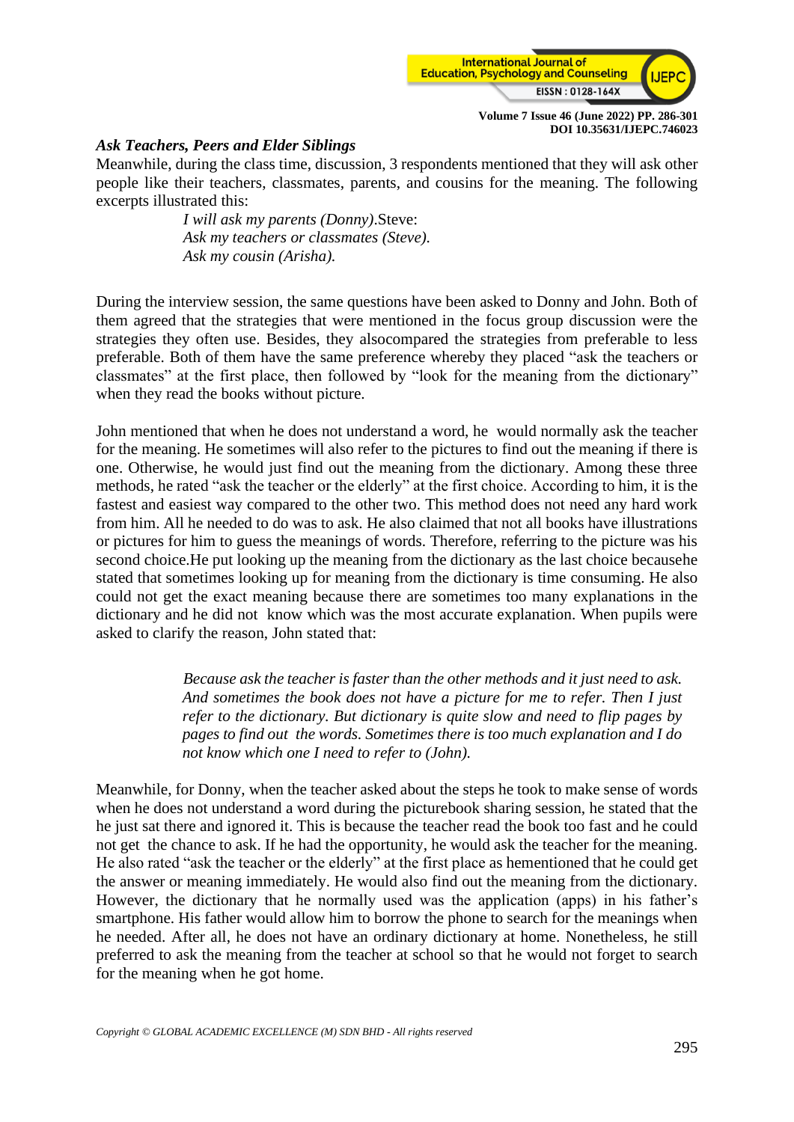

## *Ask Teachers, Peers and Elder Siblings*

Meanwhile, during the class time, discussion, 3 respondents mentioned that they will ask other people like their teachers, classmates, parents, and cousins for the meaning. The following excerpts illustrated this:

> *I will ask my parents (Donny)*.Steve: *Ask my teachers or classmates (Steve). Ask my cousin (Arisha).*

During the interview session, the same questions have been asked to Donny and John. Both of them agreed that the strategies that were mentioned in the focus group discussion were the strategies they often use. Besides, they alsocompared the strategies from preferable to less preferable. Both of them have the same preference whereby they placed "ask the teachers or classmates" at the first place, then followed by "look for the meaning from the dictionary" when they read the books without picture.

John mentioned that when he does not understand a word, he would normally ask the teacher for the meaning. He sometimes will also refer to the pictures to find out the meaning if there is one. Otherwise, he would just find out the meaning from the dictionary. Among these three methods, he rated "ask the teacher or the elderly" at the first choice. According to him, it is the fastest and easiest way compared to the other two. This method does not need any hard work from him. All he needed to do was to ask. He also claimed that not all books have illustrations or pictures for him to guess the meanings of words. Therefore, referring to the picture was his second choice.He put looking up the meaning from the dictionary as the last choice becausehe stated that sometimes looking up for meaning from the dictionary is time consuming. He also could not get the exact meaning because there are sometimes too many explanations in the dictionary and he did not know which was the most accurate explanation. When pupils were asked to clarify the reason, John stated that:

> *Because ask the teacher is faster than the other methods and it just need to ask. And sometimes the book does not have a picture for me to refer. Then I just refer to the dictionary. But dictionary is quite slow and need to flip pages by pages to find out the words. Sometimes there is too much explanation and I do not know which one I need to refer to (John).*

Meanwhile, for Donny, when the teacher asked about the steps he took to make sense of words when he does not understand a word during the picturebook sharing session, he stated that the he just sat there and ignored it. This is because the teacher read the book too fast and he could not get the chance to ask. If he had the opportunity, he would ask the teacher for the meaning. He also rated "ask the teacher or the elderly" at the first place as hementioned that he could get the answer or meaning immediately. He would also find out the meaning from the dictionary. However, the dictionary that he normally used was the application (apps) in his father's smartphone. His father would allow him to borrow the phone to search for the meanings when he needed. After all, he does not have an ordinary dictionary at home. Nonetheless, he still preferred to ask the meaning from the teacher at school so that he would not forget to search for the meaning when he got home.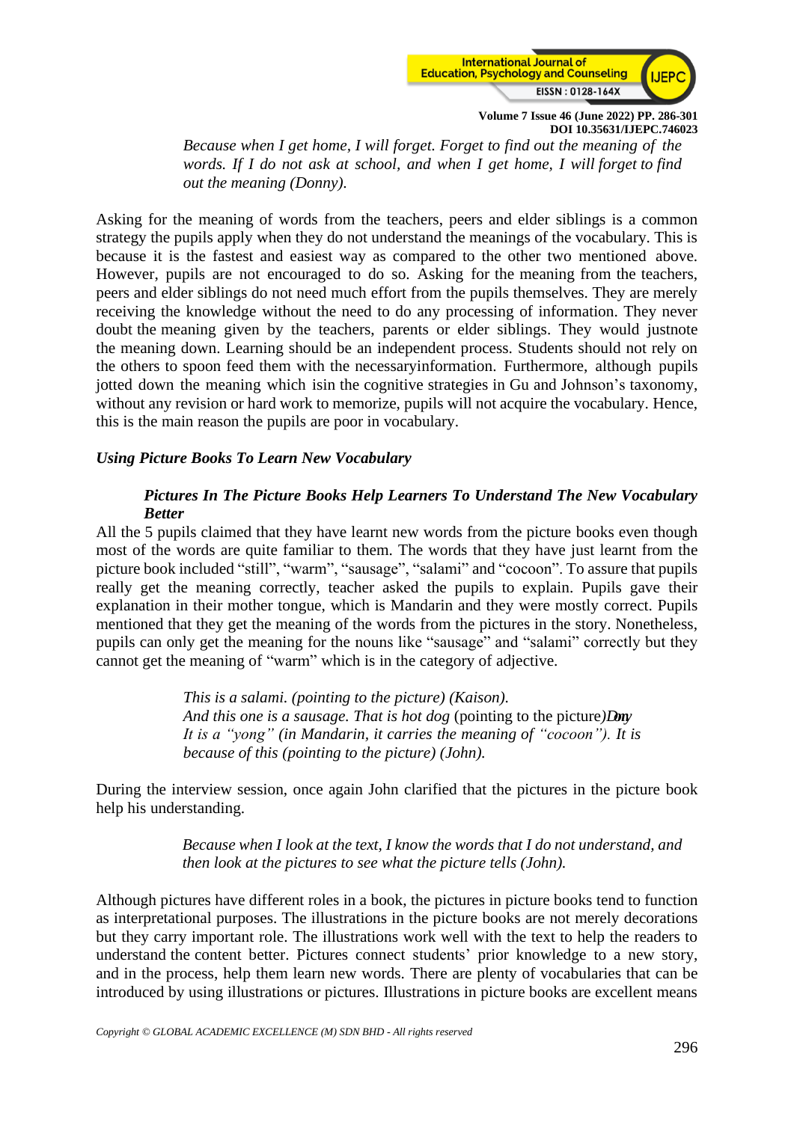

*Because when I get home, I will forget. Forget to find out the meaning of the words. If I do not ask at school, and when I get home, I will forget to find out the meaning (Donny).* 

Asking for the meaning of words from the teachers, peers and elder siblings is a common strategy the pupils apply when they do not understand the meanings of the vocabulary. This is because it is the fastest and easiest way as compared to the other two mentioned above. However, pupils are not encouraged to do so. Asking for the meaning from the teachers, peers and elder siblings do not need much effort from the pupils themselves. They are merely receiving the knowledge without the need to do any processing of information. They never doubt the meaning given by the teachers, parents or elder siblings. They would justnote the meaning down. Learning should be an independent process. Students should not rely on the others to spoon feed them with the necessaryinformation. Furthermore, although pupils jotted down the meaning which isin the cognitive strategies in Gu and Johnson's taxonomy, without any revision or hard work to memorize, pupils will not acquire the vocabulary. Hence, this is the main reason the pupils are poor in vocabulary.

## *Using Picture Books To Learn New Vocabulary*

## *Pictures In The Picture Books Help Learners To Understand The New Vocabulary Better*

All the 5 pupils claimed that they have learnt new words from the picture books even though most of the words are quite familiar to them. The words that they have just learnt from the picture book included "still", "warm", "sausage", "salami" and "cocoon". To assure that pupils really get the meaning correctly, teacher asked the pupils to explain. Pupils gave their explanation in their mother tongue, which is Mandarin and they were mostly correct. Pupils mentioned that they get the meaning of the words from the pictures in the story. Nonetheless, pupils can only get the meaning for the nouns like "sausage" and "salami" correctly but they cannot get the meaning of "warm" which is in the category of adjective.

> *This is a salami. (pointing to the picture) (Kaison). And this one is a sausage. That is hot dog* (pointing to the picture*)Donny It is a "yong" (in Mandarin, it carries the meaning of "cocoon"). It is because of this (pointing to the picture) (John).*

During the interview session, once again John clarified that the pictures in the picture book help his understanding.

> *Because when I look at the text, I know the words that I do not understand, and then look at the pictures to see what the picture tells (John).*

Although pictures have different roles in a book, the pictures in picture books tend to function as interpretational purposes. The illustrations in the picture books are not merely decorations but they carry important role. The illustrations work well with the text to help the readers to understand the content better. Pictures connect students' prior knowledge to a new story, and in the process, help them learn new words. There are plenty of vocabularies that can be introduced by using illustrations or pictures. Illustrations in picture books are excellent means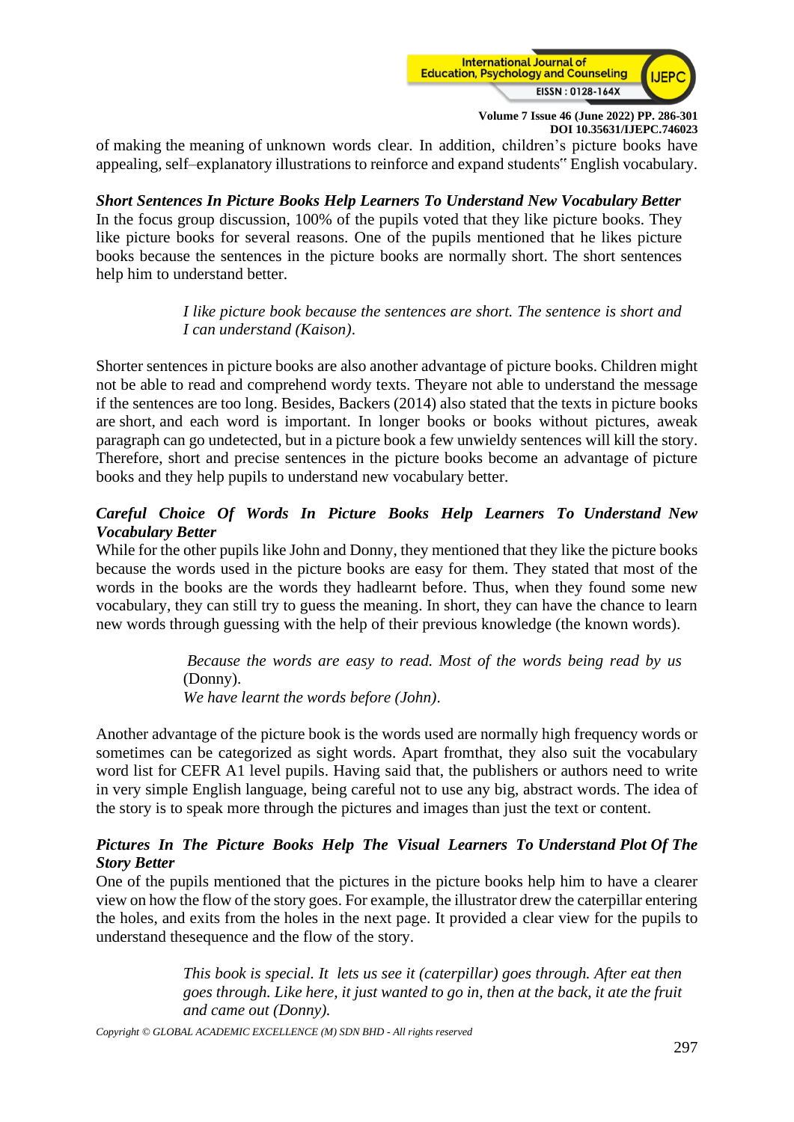

of making the meaning of unknown words clear. In addition, children's picture books have appealing, self–explanatory illustrations to reinforce and expand students" English vocabulary.

*Short Sentences In Picture Books Help Learners To Understand New Vocabulary Better* In the focus group discussion, 100% of the pupils voted that they like picture books. They like picture books for several reasons. One of the pupils mentioned that he likes picture books because the sentences in the picture books are normally short. The short sentences help him to understand better.

## *I like picture book because the sentences are short. The sentence is short and I can understand (Kaison)*.

Shorter sentences in picture books are also another advantage of picture books. Children might not be able to read and comprehend wordy texts. Theyare not able to understand the message if the sentences are too long. Besides, Backers (2014) also stated that the texts in picture books are short, and each word is important. In longer books or books without pictures, aweak paragraph can go undetected, but in a picture book a few unwieldy sentences will kill the story. Therefore, short and precise sentences in the picture books become an advantage of picture books and they help pupils to understand new vocabulary better.

## *Careful Choice Of Words In Picture Books Help Learners To Understand New Vocabulary Better*

While for the other pupils like John and Donny, they mentioned that they like the picture books because the words used in the picture books are easy for them. They stated that most of the words in the books are the words they hadlearnt before. Thus, when they found some new vocabulary, they can still try to guess the meaning. In short, they can have the chance to learn new words through guessing with the help of their previous knowledge (the known words).

> *Because the words are easy to read. Most of the words being read by us*  (Donny). *We have learnt the words before (John)*.

Another advantage of the picture book is the words used are normally high frequency words or sometimes can be categorized as sight words. Apart fromthat, they also suit the vocabulary word list for CEFR A1 level pupils. Having said that, the publishers or authors need to write in very simple English language, being careful not to use any big, abstract words. The idea of the story is to speak more through the pictures and images than just the text or content.

## *Pictures In The Picture Books Help The Visual Learners To Understand Plot Of The Story Better*

One of the pupils mentioned that the pictures in the picture books help him to have a clearer view on how the flow of the story goes. For example, the illustrator drew the caterpillar entering the holes, and exits from the holes in the next page. It provided a clear view for the pupils to understand thesequence and the flow of the story.

> *This book is special. It lets us see it (caterpillar) goes through. After eat then goes through. Like here, it just wanted to go in, then at the back, it ate the fruit and came out (Donny).*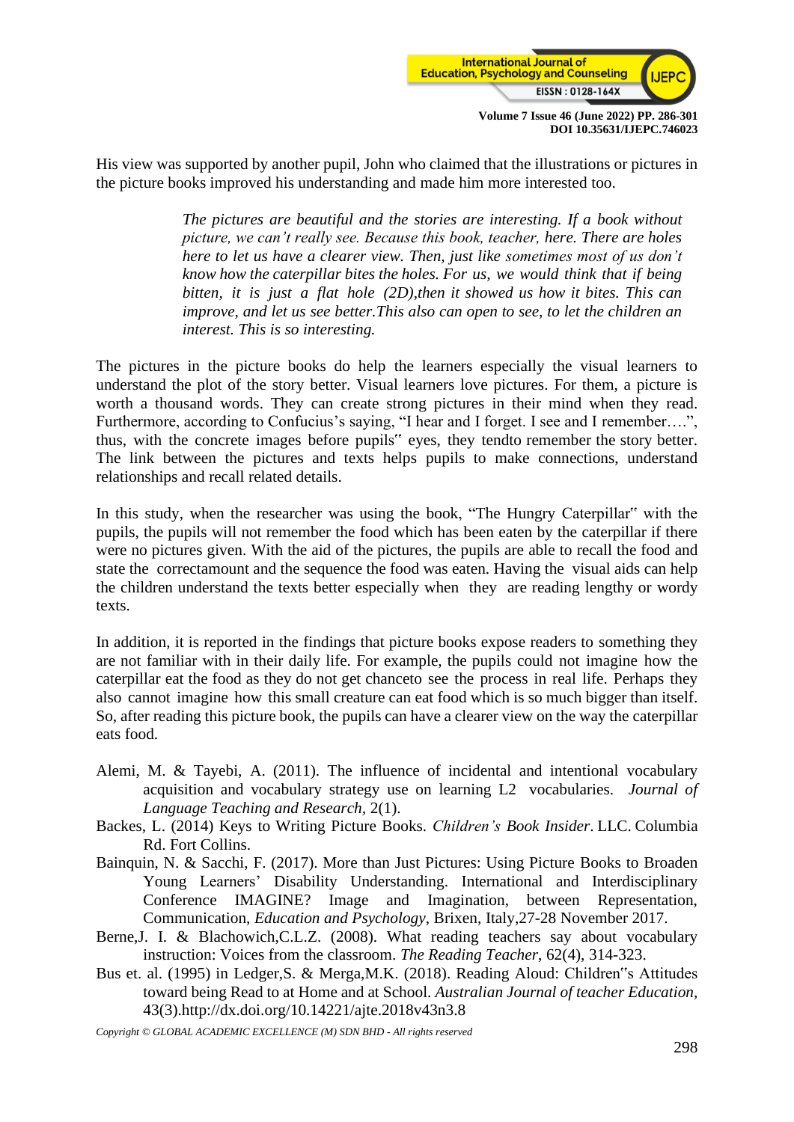

His view was supported by another pupil, John who claimed that the illustrations or pictures in the picture books improved his understanding and made him more interested too.

> *The pictures are beautiful and the stories are interesting. If a book without picture, we can't really see. Because this book, teacher, here. There are holes here to let us have a clearer view. Then, just like sometimes most of us don't know how the caterpillar bites the holes. For us, we would think that if being bitten, it is just a flat hole (2D),then it showed us how it bites. This can improve, and let us see better.This also can open to see, to let the children an interest. This is so interesting.*

The pictures in the picture books do help the learners especially the visual learners to understand the plot of the story better. Visual learners love pictures. For them, a picture is worth a thousand words. They can create strong pictures in their mind when they read. Furthermore, according to Confucius's saying, "I hear and I forget. I see and I remember....", thus, with the concrete images before pupils" eyes, they tendto remember the story better. The link between the pictures and texts helps pupils to make connections, understand relationships and recall related details.

In this study, when the researcher was using the book, "The Hungry Caterpillar" with the pupils, the pupils will not remember the food which has been eaten by the caterpillar if there were no pictures given. With the aid of the pictures, the pupils are able to recall the food and state the correctamount and the sequence the food was eaten. Having the visual aids can help the children understand the texts better especially when they are reading lengthy or wordy texts.

In addition, it is reported in the findings that picture books expose readers to something they are not familiar with in their daily life. For example, the pupils could not imagine how the caterpillar eat the food as they do not get chanceto see the process in real life. Perhaps they also cannot imagine how this small creature can eat food which is so much bigger than itself. So, after reading this picture book, the pupils can have a clearer view on the way the caterpillar eats food.

- Alemi, M. & Tayebi, A. (2011). The influence of incidental and intentional vocabulary acquisition and vocabulary strategy use on learning L2 vocabularies. *Journal of Language Teaching and Research,* 2(1).
- Backes, L. (2014) Keys to Writing Picture Books. *Children's Book Insider*. LLC. Columbia Rd. Fort Collins.
- Bainquin, N. & Sacchi, F. (2017). More than Just Pictures: Using Picture Books to Broaden Young Learners' Disability Understanding. International and Interdisciplinary Conference IMAGINE? Image and Imagination, between Representation, Communication, *Education and Psychology*, Brixen, Italy,27-28 November 2017.
- Berne,J. I. & Blachowich,C.L.Z. (2008). What reading teachers say about vocabulary instruction: Voices from the classroom. *The Reading Teacher*, 62(4), 314-323.
- Bus et. al. (1995) in Ledger,S. & Merga,M.K. (2018). Reading Aloud: Children"s Attitudes toward being Read to at Home and at School. *Australian Journal of teacher Education,* 43(3)[.http://dx.doi.org/10.14221/ajte.2018v43n3.8](http://dx.doi.org/10.14221/ajte.2018v43n3.8)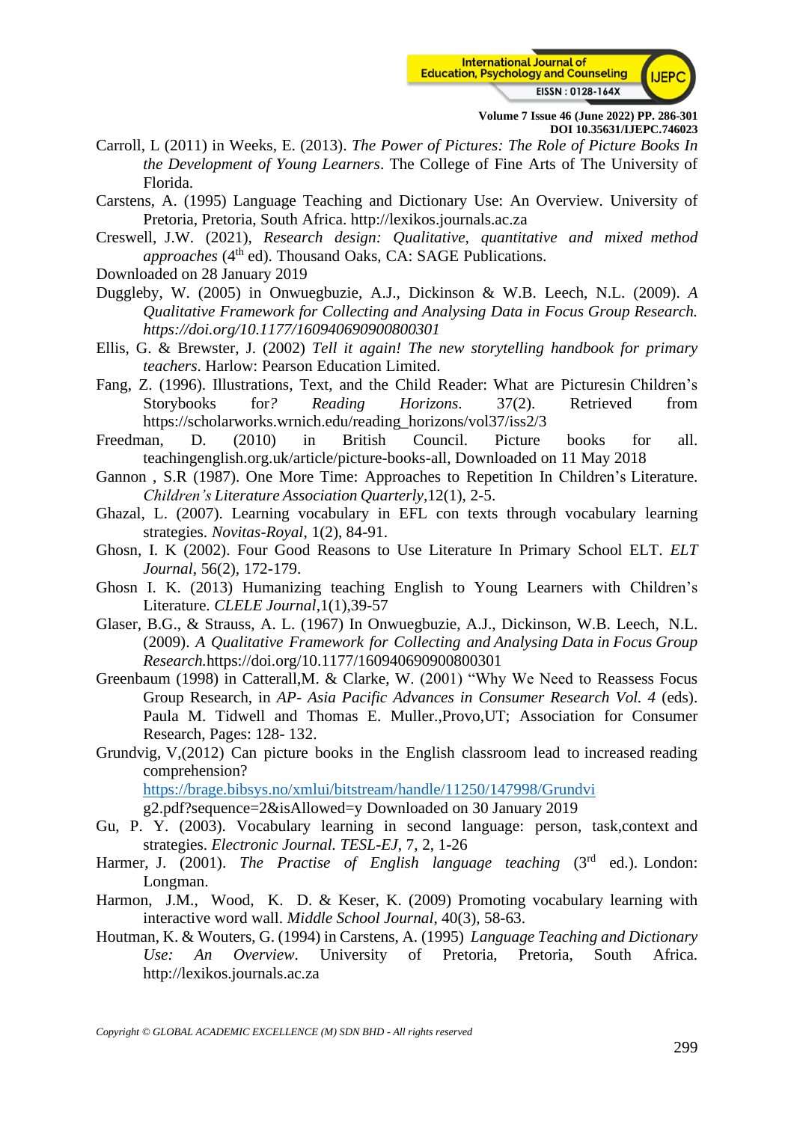

Carroll, L (2011) in Weeks, E. (2013). *The Power of Pictures: The Role of Picture Books In the Development of Young Learners*. The College of Fine Arts of The University of Florida.

Carstens, A. (1995) Language Teaching and Dictionary Use: An Overview. University of Pretoria, Pretoria, South Africa. [http://lexikos.journals.ac.za](http://lexikos.journals.ac.za/)

- Creswell, J.W. (2021), *Research design: Qualitative, quantitative and mixed method approaches* (4<sup>th</sup> ed). Thousand Oaks, CA: SAGE Publications.
- Downloaded on 28 January 2019
- Duggleby, W. (2005) in Onwuegbuzie, A.J., Dickinson & W.B. Leech, N.L. (2009). *A Qualitative Framework for Collecting and Analysing Data in Focus Group Research. <https://doi.org/10.1177/160940690900800301>*
- Ellis, G. & Brewster, J. (2002) *Tell it again! The new storytelling handbook for primary teachers*. Harlow: Pearson Education Limited.
- Fang, Z. (1996). Illustrations, Text, and the Child Reader: What are Picturesin Children's Storybooks for*? Reading Horizons*. 37(2). Retrieved from [https://scholarworks.wrnich.edu/reading\\_horizons/vol37/iss2/3](https://scholarworks.wrnich.edu/reading_horizons/vol37/iss2/3)
- Freedman, D. (2010) in British Council. Picture books for all. teachingenglish.org.uk/article/picture-books-all, Downloaded on 11 May 2018
- Gannon , S.R (1987). One More Time: Approaches to Repetition In Children's Literature. *Children's Literature Association Quarterly*,12(1), 2-5.
- Ghazal, L. (2007). Learning vocabulary in EFL con texts through vocabulary learning strategies. *Novitas-Royal*, 1(2), 84-91.
- Ghosn, I. K (2002). Four Good Reasons to Use Literature In Primary School ELT. *ELT Journal*, 56(2), 172-179.
- Ghosn I. K. (2013) Humanizing teaching English to Young Learners with Children's Literature. *CLELE Journal*,1(1),39-57
- Glaser, B.G., & Strauss, A. L. (1967) In Onwuegbuzie, A.J., Dickinson, W.B. Leech, N.L. (2009). *A Qualitative Framework for Collecting and Analysing Data in Focus Group Research.*<https://doi.org/10.1177/160940690900800301>
- Greenbaum (1998) in Catterall,M. & Clarke, W. (2001) "Why We Need to Reassess Focus Group Research, in *AP- Asia Pacific Advances in Consumer Research Vol. 4* (eds). Paula M. Tidwell and Thomas E. Muller.,Provo,UT; Association for Consumer Research, Pages: 128- 132.
- Grundvig, V,(2012) Can picture books in the English classroom lead to increased reading comprehension?

<https://brage.bibsys.no/xmlui/bitstream/handle/11250/147998/Grundvi>

[g2.pdf?sequence=2&isAllowed=y](https://brage.bibsys.no/xmlui/bitstream/handle/11250/147998/Grundvig2.pdf?sequence=2&isAllowed=y) Downloaded on 30 January 2019

- Gu, P. Y. (2003). Vocabulary learning in second language: person, task,context and strategies. *Electronic Journal. TESL-EJ*, 7, 2, 1-26
- Harmer, J. (2001). *The Practise of English language teaching* (3rd ed.). London: Longman.
- Harmon, J.M., Wood, K. D. & Keser, K. (2009) Promoting vocabulary learning with interactive word wall. *Middle School Journal*, 40(3), 58-63.
- Houtman, K. & Wouters, G. (1994) in Carstens, A. (1995) *Language Teaching and Dictionary Use: An Overview*. University of Pretoria, Pretoria, South Africa. [http://lexikos.journals.ac.za](http://lexikos.journals.ac.za/)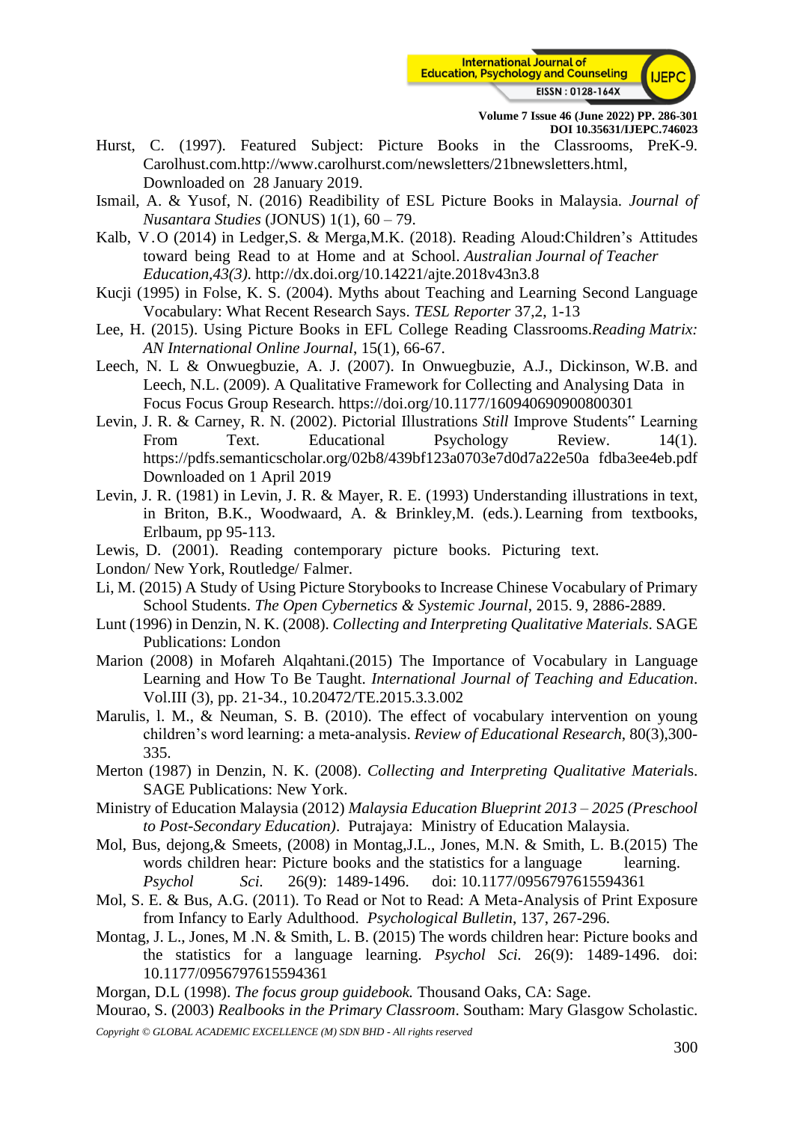

- Hurst, C. (1997). Featured Subject: Picture Books in the Classrooms, PreK-9. Carolhust.com[.http://www.carolhurst.com/newsletters/21bnewsletters.html,](http://www.carolhurst.com/newsletters/21bnewsletters.html) Downloaded on 28 January 2019.
- Ismail, A. & Yusof, N. (2016) Readibility of ESL Picture Books in Malaysia. *Journal of Nusantara Studies* (JONUS) 1(1), 60 – 79.
- Kalb, V.O (2014) in Ledger,S. & Merga,M.K. (2018). Reading Aloud:Children's Attitudes toward being Read to at Home and at School. *Australian Journal of Teacher Education,43(3)*.<http://dx.doi.org/10.14221/ajte.2018v43n3.8>
- Kucji (1995) in Folse, K. S. (2004). Myths about Teaching and Learning Second Language Vocabulary: What Recent Research Says. *TESL Reporter* 37,2, 1-13
- Lee, H. (2015). Using Picture Books in EFL College Reading Classrooms.*Reading Matrix: AN International Online Journal*, 15(1), 66-67.
- Leech, N. L & Onwuegbuzie, A. J. (2007). In Onwuegbuzie, A.J., Dickinson, W.B. and Leech, N.L. (2009). A Qualitative Framework for Collecting and Analysing Data in Focus Focus Group Research.<https://doi.org/10.1177/160940690900800301>
- Levin, J. R. & Carney, R. N. (2002). Pictorial Illustrations *Still* Improve Students" Learning From Text. Educational Psychology Review. 14(1). [https://pdfs.semanticscholar.org/02b8/439bf123a0703e7d0d7a22e50a](https://pdfs.semanticscholar.org/02b8/439bf123a0703e7d0d7a22e50afdba3ee4eb.pdf) [fdba3ee4eb.pdf](https://pdfs.semanticscholar.org/02b8/439bf123a0703e7d0d7a22e50afdba3ee4eb.pdf) Downloaded on 1 April 2019
- Levin, J. R. (1981) in Levin, J. R. & Mayer, R. E. (1993) Understanding illustrations in text, in Briton, B.K., Woodwaard, A. & Brinkley,M. (eds.). Learning from textbooks, Erlbaum, pp 95-113.
- Lewis, D. (2001). Reading contemporary picture books. Picturing text.
- London/ New York, Routledge/ Falmer.
- Li, M. (2015) A Study of Using Picture Storybooks to Increase Chinese Vocabulary of Primary School Students. *The Open Cybernetics & Systemic Journal*, 2015. 9, 2886-2889.
- Lunt (1996) in Denzin, N. K. (2008). *Collecting and Interpreting Qualitative Materials*. SAGE Publications: London
- Marion (2008) in Mofareh Alqahtani.(2015) The Importance of Vocabulary in Language Learning and How To Be Taught. *International Journal of Teaching and Education*. Vol.III (3), pp. 21-34., 10.20472/TE.2015.3.3.002
- Marulis, l. M., & Neuman, S. B. (2010). The effect of vocabulary intervention on young children's word learning: a meta-analysis. *Review of Educational Research*, 80(3),300- 335.
- Merton (1987) in Denzin, N. K. (2008). *Collecting and Interpreting Qualitative Material*s. SAGE Publications: New York.
- Ministry of Education Malaysia (2012) *Malaysia Education Blueprint 2013 – 2025 (Preschool to Post-Secondary Education)*. Putrajaya: Ministry of Education Malaysia.
- Mol, Bus, dejong,& Smeets, (2008) in Montag,J.L., Jones, M.N. & Smith, L. B.(2015) The words children hear: Picture books and the statistics for a language learning. *Psychol Sci.* 26(9): 1489-1496. doi: 10.1177/0956797615594361
- Mol, S. E. & Bus, A.G. (2011). To Read or Not to Read: A Meta-Analysis of Print Exposure from Infancy to Early Adulthood. *Psychological Bulletin*, 137, 267-296.
- Montag, J. L., Jones, M .N. & Smith, L. B. (2015) The words children hear: Picture books and the statistics for a language learning. *Psychol Sci.* 26(9): 1489-1496. doi: 10.1177/0956797615594361
- Morgan, D.L (1998). *The focus group guidebook.* Thousand Oaks, CA: Sage.
- Mourao, S. (2003) *Realbooks in the Primary Classroom*. Southam: Mary Glasgow Scholastic.